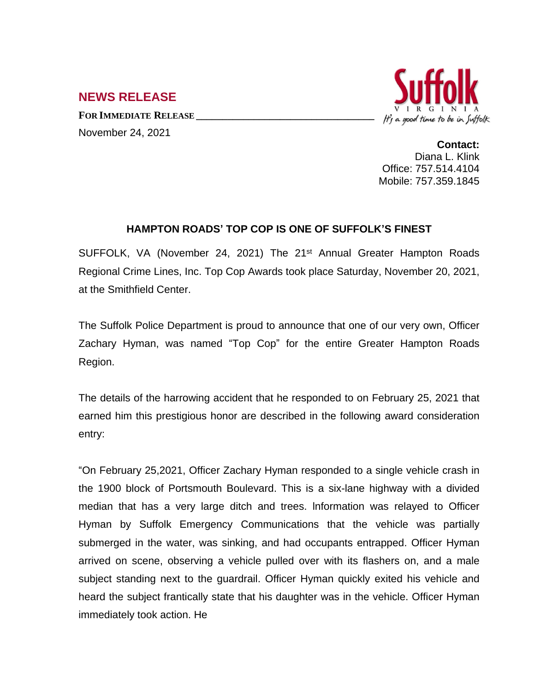## It's a good time to be in Suffolk

**NEWS RELEASE**

**FOR IMMEDIATE RELEASE \_\_\_\_\_\_\_\_\_\_\_\_\_\_\_\_\_\_\_\_\_\_\_\_\_\_\_\_\_\_\_\_\_\_** November 24, 2021

**Contact:** Diana L. Klink Office: 757.514.4104 Mobile: 757.359.1845

## **HAMPTON ROADS' TOP COP IS ONE OF SUFFOLK'S FINEST**

SUFFOLK, VA (November 24, 2021) The 21<sup>st</sup> Annual Greater Hampton Roads Regional Crime Lines, Inc. Top Cop Awards took place Saturday, November 20, 2021, at the Smithfield Center.

The Suffolk Police Department is proud to announce that one of our very own, Officer Zachary Hyman, was named "Top Cop" for the entire Greater Hampton Roads Region.

The details of the harrowing accident that he responded to on February 25, 2021 that earned him this prestigious honor are described in the following award consideration entry:

"On February 25,2021, Officer Zachary Hyman responded to a single vehicle crash in the 1900 block of Portsmouth Boulevard. This is a six-lane highway with a divided median that has a very large ditch and trees. lnformation was relayed to Officer Hyman by Suffolk Emergency Communications that the vehicle was partially submerged in the water, was sinking, and had occupants entrapped. Officer Hyman arrived on scene, observing a vehicle pulled over with its flashers on, and a male subject standing next to the guardrail. Officer Hyman quickly exited his vehicle and heard the subject frantically state that his daughter was in the vehicle. Officer Hyman immediately took action. He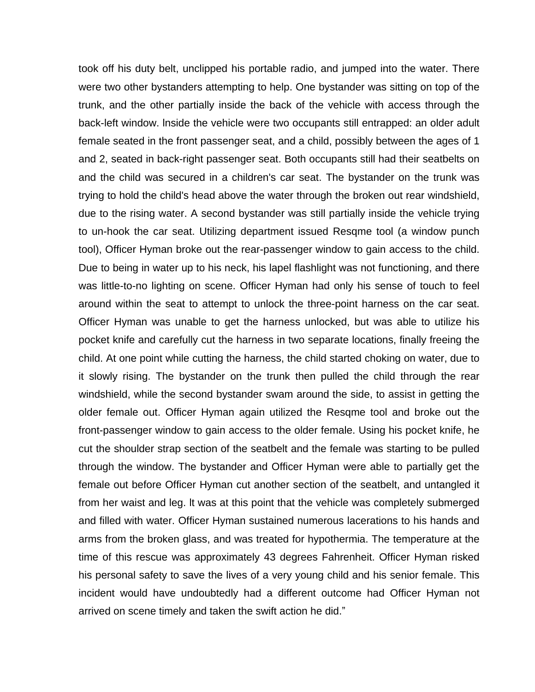took off his duty belt, unclipped his portable radio, and jumped into the water. There were two other bystanders attempting to help. One bystander was sitting on top of the trunk, and the other partially inside the back of the vehicle with access through the back-left window. lnside the vehicle were two occupants still entrapped: an older adult female seated in the front passenger seat, and a child, possibly between the ages of 1 and 2, seated in back-right passenger seat. Both occupants still had their seatbelts on and the child was secured in a children's car seat. The bystander on the trunk was trying to hold the child's head above the water through the broken out rear windshield, due to the rising water. A second bystander was still partially inside the vehicle trying to un-hook the car seat. Utilizing department issued Resqme tool (a window punch tool), Officer Hyman broke out the rear-passenger window to gain access to the child. Due to being in water up to his neck, his lapel flashlight was not functioning, and there was little-to-no lighting on scene. Officer Hyman had only his sense of touch to feel around within the seat to attempt to unlock the three-point harness on the car seat. Officer Hyman was unable to get the harness unlocked, but was able to utilize his pocket knife and carefully cut the harness in two separate locations, finally freeing the child. At one point while cutting the harness, the child started choking on water, due to it slowly rising. The bystander on the trunk then pulled the child through the rear windshield, while the second bystander swam around the side, to assist in getting the older female out. Officer Hyman again utilized the Resqme tool and broke out the front-passenger window to gain access to the older female. Using his pocket knife, he cut the shoulder strap section of the seatbelt and the female was starting to be pulled through the window. The bystander and Officer Hyman were able to partially get the female out before Officer Hyman cut another section of the seatbelt, and untangled it from her waist and leg. lt was at this point that the vehicle was completely submerged and filled with water. Officer Hyman sustained numerous lacerations to his hands and arms from the broken glass, and was treated for hypothermia. The temperature at the time of this rescue was approximately 43 degrees Fahrenheit. Officer Hyman risked his personal safety to save the lives of a very young child and his senior female. This incident would have undoubtedly had a different outcome had Officer Hyman not arrived on scene timely and taken the swift action he did."